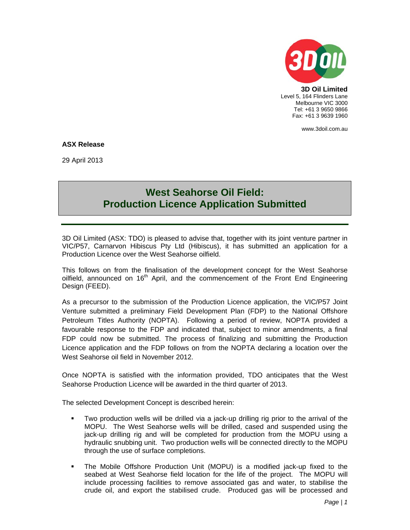

**3D Oil Limited**  Level 5, 164 Flinders Lane Melbourne VIC 3000 Tel: +61 3 9650 9866 Fax: +61 3 9639 1960

www.3doil.com.au

## **ASX Release**

29 April 2013

## **West Seahorse Oil Field: Production Licence Application Submitted**

3D Oil Limited (ASX: TDO) is pleased to advise that, together with its joint venture partner in VIC/P57, Carnarvon Hibiscus Pty Ltd (Hibiscus), it has submitted an application for a Production Licence over the West Seahorse oilfield.

This follows on from the finalisation of the development concept for the West Seahorse oilfield, announced on  $16<sup>th</sup>$  April, and the commencement of the Front End Engineering Design (FEED).

As a precursor to the submission of the Production Licence application, the VIC/P57 Joint Venture submitted a preliminary Field Development Plan (FDP) to the National Offshore Petroleum Titles Authority (NOPTA). Following a period of review, NOPTA provided a favourable response to the FDP and indicated that, subject to minor amendments, a final FDP could now be submitted. The process of finalizing and submitting the Production Licence application and the FDP follows on from the NOPTA declaring a location over the West Seahorse oil field in November 2012.

Once NOPTA is satisfied with the information provided, TDO anticipates that the West Seahorse Production Licence will be awarded in the third quarter of 2013.

The selected Development Concept is described herein:

- Two production wells will be drilled via a jack-up drilling rig prior to the arrival of the MOPU. The West Seahorse wells will be drilled, cased and suspended using the jack-up drilling rig and will be completed for production from the MOPU using a hydraulic snubbing unit. Two production wells will be connected directly to the MOPU through the use of surface completions.
- The Mobile Offshore Production Unit (MOPU) is a modified jack-up fixed to the seabed at West Seahorse field location for the life of the project. The MOPU will include processing facilities to remove associated gas and water, to stabilise the crude oil, and export the stabilised crude. Produced gas will be processed and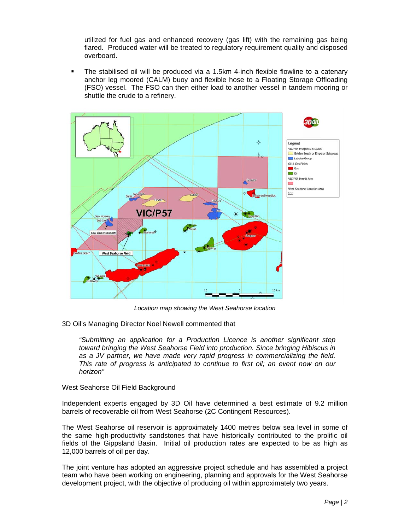utilized for fuel gas and enhanced recovery (gas lift) with the remaining gas being flared. Produced water will be treated to regulatory requirement quality and disposed overboard.

 The stabilised oil will be produced via a 1.5km 4-inch flexible flowline to a catenary anchor leg moored (CALM) buoy and flexible hose to a Floating Storage Offloading (FSO) vessel. The FSO can then either load to another vessel in tandem mooring or shuttle the crude to a refinery.



*Location map showing the West Seahorse location* 

3D Oil's Managing Director Noel Newell commented that

*"Submitting an application for a Production Licence is another significant step toward bringing the West Seahorse Field into production. Since bringing Hibiscus in as a JV partner, we have made very rapid progress in commercializing the field. This rate of progress is anticipated to continue to first oil; an event now on our horizon"* 

## West Seahorse Oil Field Background

Independent experts engaged by 3D Oil have determined a best estimate of 9.2 million barrels of recoverable oil from West Seahorse (2C Contingent Resources).

The West Seahorse oil reservoir is approximately 1400 metres below sea level in some of the same high-productivity sandstones that have historically contributed to the prolific oil fields of the Gippsland Basin. Initial oil production rates are expected to be as high as 12,000 barrels of oil per day.

The joint venture has adopted an aggressive project schedule and has assembled a project team who have been working on engineering, planning and approvals for the West Seahorse development project, with the objective of producing oil within approximately two years.